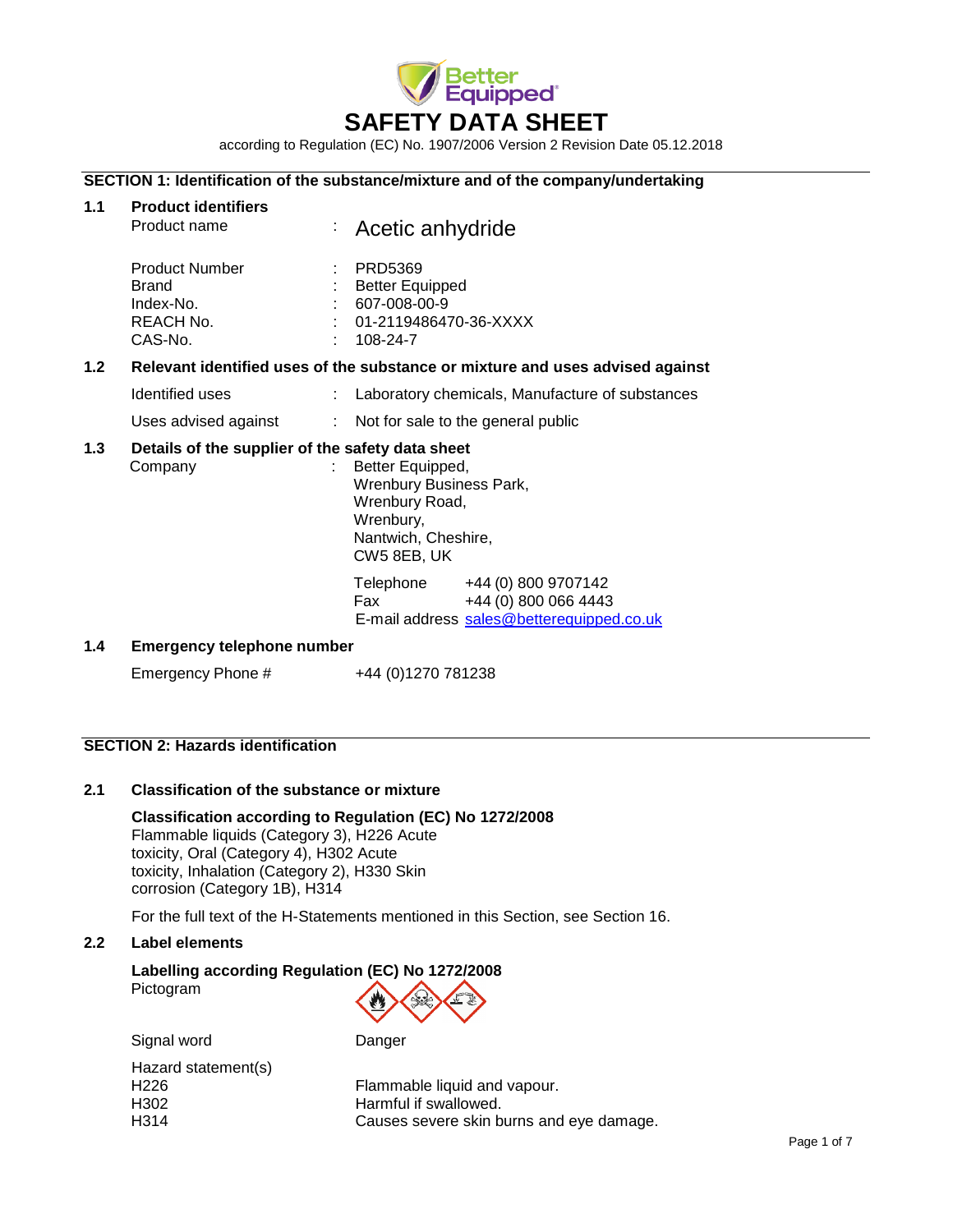

according to Regulation (EC) No. 1907/2006 Version 2 Revision Date 05.12.2018

## **SECTION 1: Identification of the substance/mixture and of the company/undertaking**

| 1.1              | <b>Product identifiers</b><br>Product name                          | Acetic anhydride                                                                                                                                                                                                     |  |
|------------------|---------------------------------------------------------------------|----------------------------------------------------------------------------------------------------------------------------------------------------------------------------------------------------------------------|--|
|                  | <b>Product Number</b><br>Brand<br>Index-No.<br>REACH No.<br>CAS-No. | <b>PRD5369</b><br><b>Better Equipped</b><br>$: 607-008-00-9$<br>$1.01 - 2119486470 - 36 - XXXX$<br>$: 108-24-7$                                                                                                      |  |
| 1.2 <sub>1</sub> |                                                                     | Relevant identified uses of the substance or mixture and uses advised against                                                                                                                                        |  |
|                  | Identified uses                                                     | Laboratory chemicals, Manufacture of substances                                                                                                                                                                      |  |
|                  | Uses advised against                                                | : Not for sale to the general public                                                                                                                                                                                 |  |
| 1.3              | Details of the supplier of the safety data sheet<br>Company         | Better Equipped,<br>Wrenbury Business Park,<br>Wrenbury Road,<br>Wrenbury,<br>Nantwich, Cheshire,<br>CW5 8EB, UK                                                                                                     |  |
|                  |                                                                     | Telephone +44 (0) 800 9707142<br>+44 (0) 800 066 4443<br>Fax and the set of the set of the set of the set of the set of the set of the set of the set of the set of the<br>E-mail address sales@betterequipped.co.uk |  |
| 1.4              | <b>Emergency telephone number</b>                                   |                                                                                                                                                                                                                      |  |
|                  | Emergency Phone #                                                   | +44 (0)1270 781238                                                                                                                                                                                                   |  |

### **SECTION 2: Hazards identification**

## **2.1 Classification of the substance or mixture**

**Classification according to Regulation (EC) No 1272/2008** Flammable liquids (Category 3), H226 Acute toxicity, Oral (Category 4), H302 Acute toxicity, Inhalation (Category 2), H330 Skin corrosion (Category 1B), H314

For the full text of the H-Statements mentioned in this Section, see Section 16.

## **2.2 Label elements**

# **Labelling according Regulation (EC) No 1272/2008** Pictogram

| Signal word         | Danger                                   |
|---------------------|------------------------------------------|
| Hazard statement(s) |                                          |
| H <sub>226</sub>    | Flammable liquid and vapour.             |
| H <sub>302</sub>    | Harmful if swallowed.                    |
| H <sub>3</sub> 14   | Causes severe skin burns and eye damage. |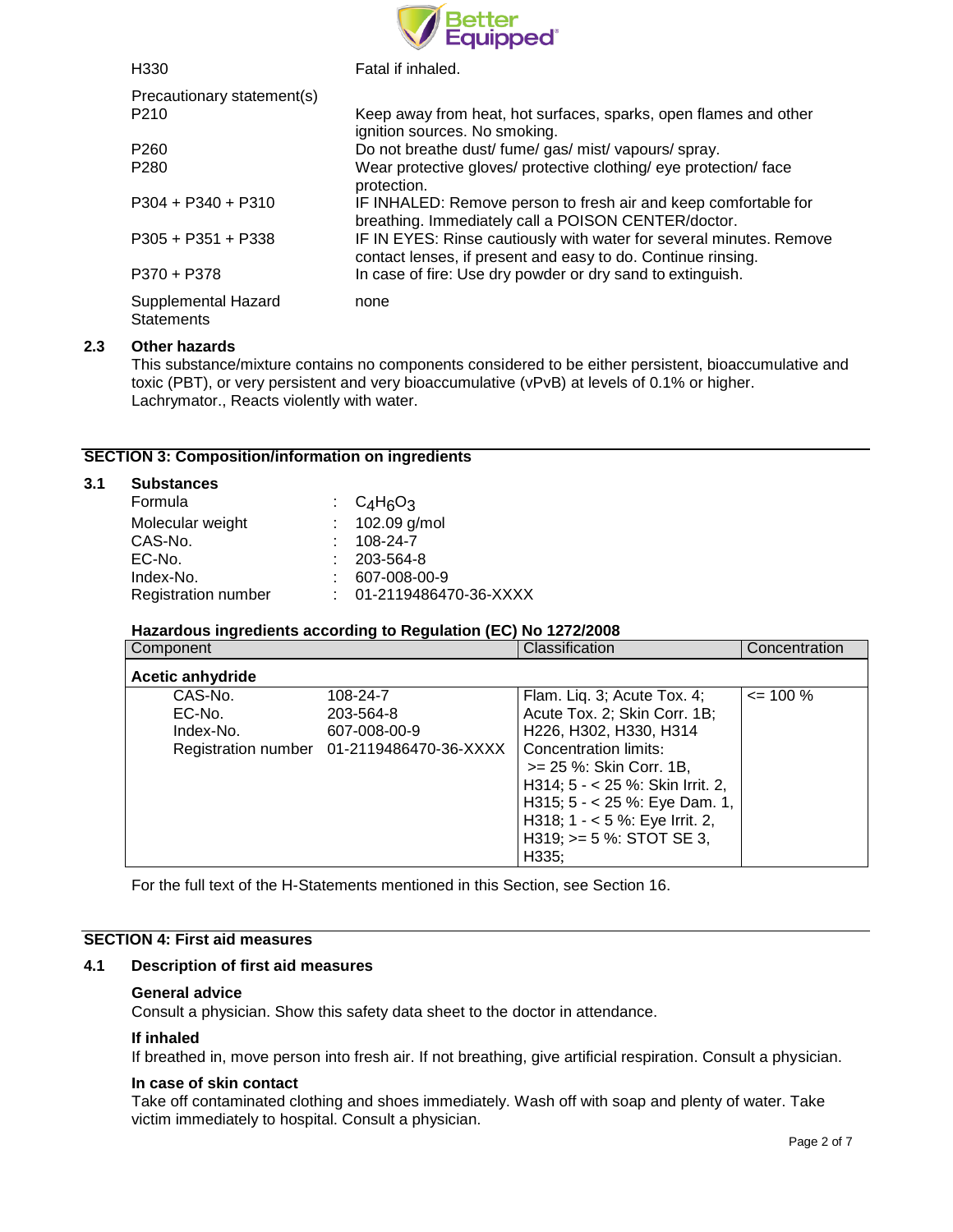

| H <sub>330</sub>                         | Fatal if inhaled.                                                                                                                   |
|------------------------------------------|-------------------------------------------------------------------------------------------------------------------------------------|
| Precautionary statement(s)               |                                                                                                                                     |
| P <sub>210</sub>                         | Keep away from heat, hot surfaces, sparks, open flames and other<br>ignition sources. No smoking.                                   |
| P <sub>260</sub>                         | Do not breathe dust/ fume/ gas/ mist/ vapours/ spray.                                                                               |
| P <sub>280</sub>                         | Wear protective gloves/ protective clothing/ eye protection/ face<br>protection.                                                    |
| $P304 + P340 + P310$                     | IF INHALED: Remove person to fresh air and keep comfortable for<br>breathing. Immediately call a POISON CENTER/doctor.              |
| $P305 + P351 + P338$                     | IF IN EYES: Rinse cautiously with water for several minutes. Remove<br>contact lenses, if present and easy to do. Continue rinsing. |
| P370 + P378                              | In case of fire: Use dry powder or dry sand to extinguish.                                                                          |
| Supplemental Hazard<br><b>Statements</b> | none                                                                                                                                |

## **2.3 Other hazards**

This substance/mixture contains no components considered to be either persistent, bioaccumulative and toxic (PBT), or very persistent and very bioaccumulative (vPvB) at levels of 0.1% or higher. Lachrymator., Reacts violently with water.

## **SECTION 3: Composition/information on ingredients**

### **3.1 Substances**

| Formula                    | : $C_4H_6O_3$             |
|----------------------------|---------------------------|
| Molecular weight           | : $102.09$ g/mol          |
| CAS-No.                    | $: 108-24-7$              |
| EC-No.                     | $: 203 - 564 - 8$         |
| Index-No.                  | 607-008-00-9              |
| <b>Registration number</b> | $: 01-2119486470-36-XXXX$ |

#### **Hazardous ingredients according to Regulation (EC) No 1272/2008**

| Component        |                                           | Classification                   | Concentration |
|------------------|-------------------------------------------|----------------------------------|---------------|
| Acetic anhydride |                                           |                                  |               |
| CAS-No.          | 108-24-7                                  | Flam. Liq. 3; Acute Tox. 4;      | $\leq$ 100 %  |
| EC-No.           | 203-564-8                                 | Acute Tox. 2; Skin Corr. 1B;     |               |
| Index-No.        | 607-008-00-9                              | H226, H302, H330, H314           |               |
|                  | Registration number 01-2119486470-36-XXXX | Concentration limits:            |               |
|                  |                                           | >= 25 %: Skin Corr. 1B,          |               |
|                  |                                           | H314; 5 - < 25 %: Skin Irrit. 2, |               |
|                  |                                           | H315; $5 - 25$ %: Eye Dam. 1,    |               |
|                  |                                           | H318; $1 - 5$ %: Eye Irrit. 2,   |               |
|                  |                                           | H319; $>= 5$ %: STOT SE 3,       |               |
|                  |                                           | H335;                            |               |

For the full text of the H-Statements mentioned in this Section, see Section 16.

# **SECTION 4: First aid measures**

## **4.1 Description of first aid measures**

#### **General advice**

Consult a physician. Show this safety data sheet to the doctor in attendance.

#### **If inhaled**

If breathed in, move person into fresh air. If not breathing, give artificial respiration. Consult a physician.

#### **In case of skin contact**

Take off contaminated clothing and shoes immediately. Wash off with soap and plenty of water. Take victim immediately to hospital. Consult a physician.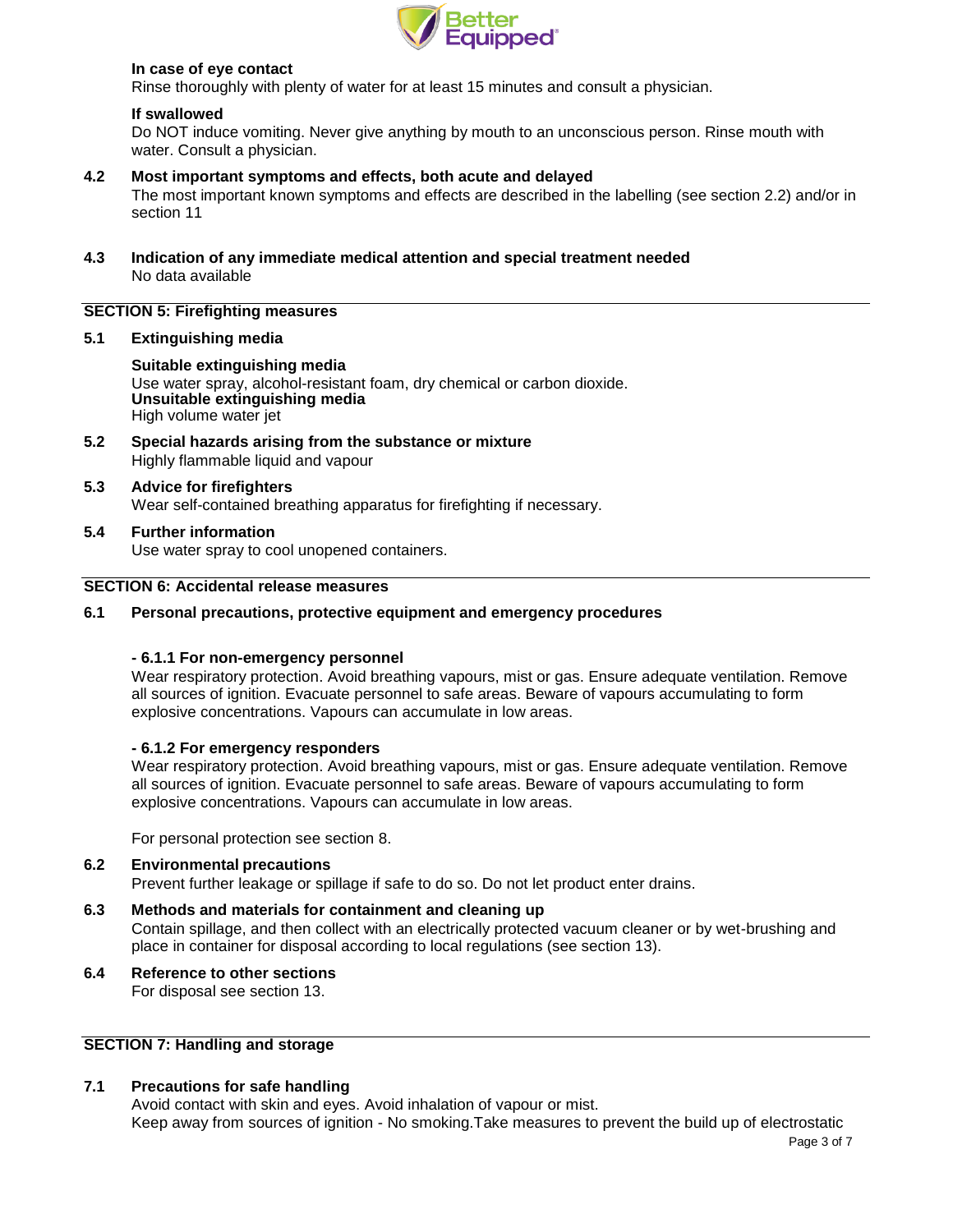

# **In case of eye contact**

Rinse thoroughly with plenty of water for at least 15 minutes and consult a physician.

## **If swallowed**

Do NOT induce vomiting. Never give anything by mouth to an unconscious person. Rinse mouth with water. Consult a physician.

## **4.2 Most important symptoms and effects, both acute and delayed**

The most important known symptoms and effects are described in the labelling (see section 2.2) and/or in section 11

**4.3 Indication of any immediate medical attention and special treatment needed** No data available

# **SECTION 5: Firefighting measures**

## **5.1 Extinguishing media**

**Suitable extinguishing media**

Use water spray, alcohol-resistant foam, dry chemical or carbon dioxide. **Unsuitable extinguishing media** High volume water jet

- **5.2 Special hazards arising from the substance or mixture** Highly flammable liquid and vapour
- **5.3 Advice for firefighters** Wear self-contained breathing apparatus for firefighting if necessary.
- **5.4 Further information** Use water spray to cool unopened containers.

# **SECTION 6: Accidental release measures**

## **6.1 Personal precautions, protective equipment and emergency procedures**

#### **- 6.1.1 For non-emergency personnel**

Wear respiratory protection. Avoid breathing vapours, mist or gas. Ensure adequate ventilation. Remove all sources of ignition. Evacuate personnel to safe areas. Beware of vapours accumulating to form explosive concentrations. Vapours can accumulate in low areas.

# **- 6.1.2 For emergency responders**

Wear respiratory protection. Avoid breathing vapours, mist or gas. Ensure adequate ventilation. Remove all sources of ignition. Evacuate personnel to safe areas. Beware of vapours accumulating to form explosive concentrations. Vapours can accumulate in low areas.

For personal protection see section 8.

# **6.2 Environmental precautions** Prevent further leakage or spillage if safe to do so. Do not let product enter drains. **6.3 Methods and materials for containment and cleaning up**

- Contain spillage, and then collect with an electrically protected vacuum cleaner or by wet-brushing and place in container for disposal according to local regulations (see section 13).
- **6.4 Reference to other sections** For disposal see section 13.

# **SECTION 7: Handling and storage**

## **7.1 Precautions for safe handling**

Avoid contact with skin and eyes. Avoid inhalation of vapour or mist. Keep away from sources of ignition - No smoking.Take measures to prevent the build up of electrostatic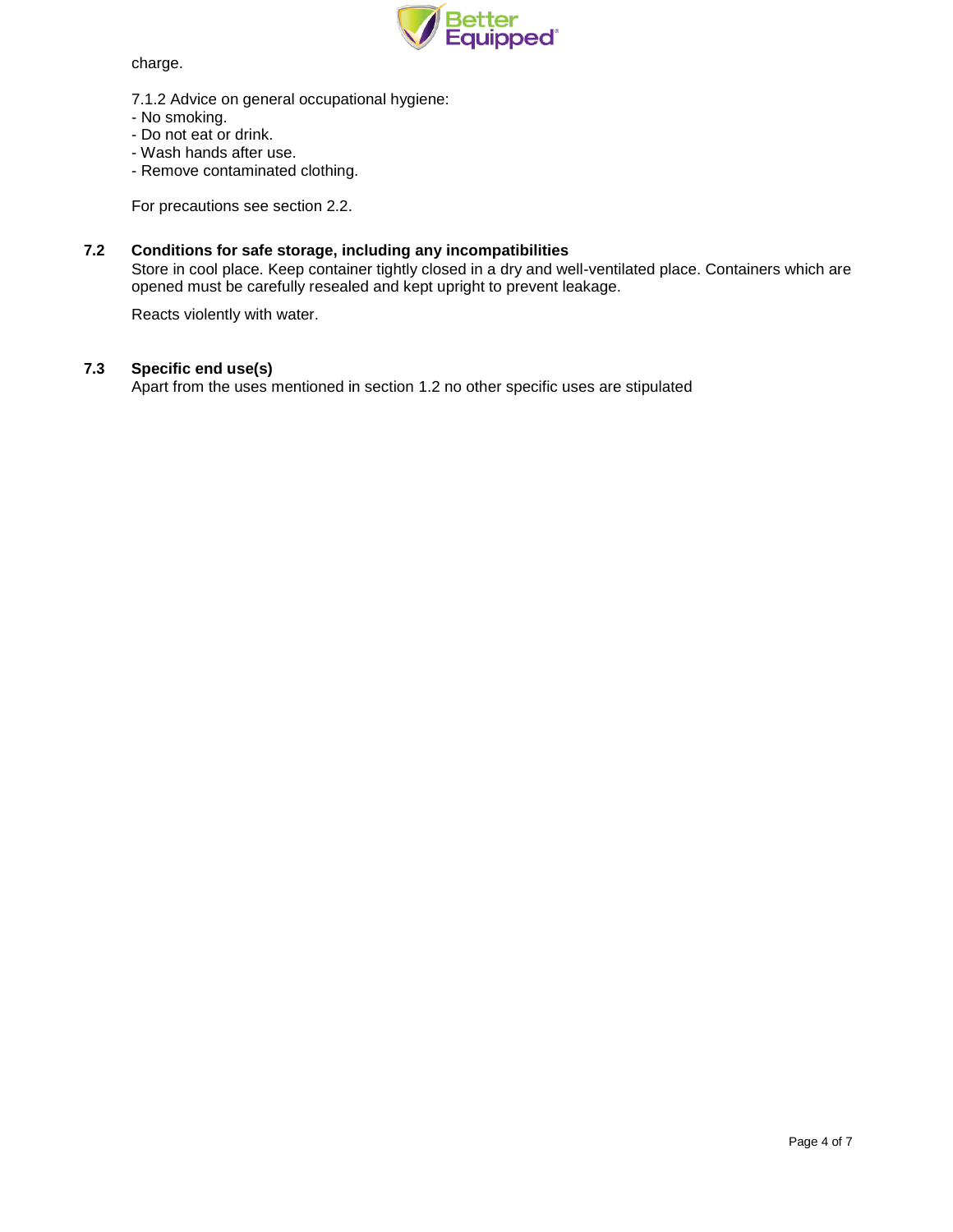

charge.

- 7.1.2 Advice on general occupational hygiene:
- No smoking.
- Do not eat or drink.
- Wash hands after use.
- Remove contaminated clothing.

For precautions see section 2.2.

## **7.2 Conditions for safe storage, including any incompatibilities**

Store in cool place. Keep container tightly closed in a dry and well-ventilated place. Containers which are opened must be carefully resealed and kept upright to prevent leakage.

Reacts violently with water.

# **7.3 Specific end use(s)**

Apart from the uses mentioned in section 1.2 no other specific uses are stipulated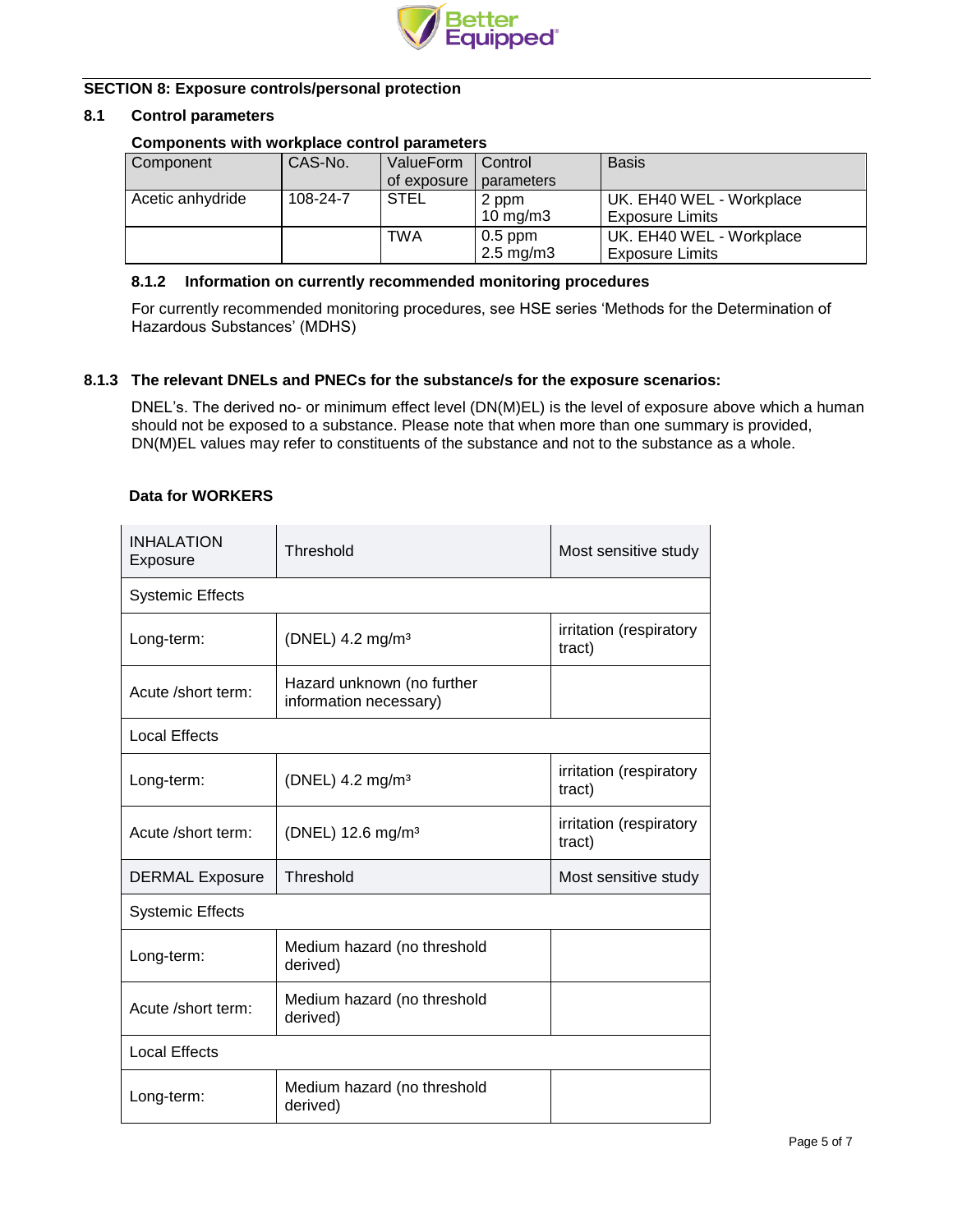

# **SECTION 8: Exposure controls/personal protection**

### **8.1 Control parameters**

# **Components with workplace control parameters**

| Component        | CAS-No.  | ValueForm   | Control              | <b>Basis</b>             |
|------------------|----------|-------------|----------------------|--------------------------|
|                  |          | of exposure | parameters           |                          |
| Acetic anhydride | 108-24-7 | <b>STEL</b> | 2 ppm                | UK. EH40 WEL - Workplace |
|                  |          |             | 10 mg/m $3$          | <b>Exposure Limits</b>   |
|                  |          | TWA         | $0.5$ ppm            | UK. EH40 WEL - Workplace |
|                  |          |             | $2.5 \text{ mg/m}$ 3 | <b>Exposure Limits</b>   |

## **8.1.2 Information on currently recommended monitoring procedures**

For currently recommended monitoring procedures, see HSE series 'Methods for the Determination of Hazardous Substances' (MDHS)

## **8.1.3 The relevant DNELs and PNECs for the substance/s for the exposure scenarios:**

DNEL's. The derived no- or minimum effect level (DN(M)EL) is the level of exposure above which a human should not be exposed to a substance. Please note that when more than one summary is provided, DN(M)EL values may refer to constituents of the substance and not to the substance as a whole.

## **Data for WORKERS**

| <b>INHALATION</b><br>Threshold<br>Exposure |                                                      | Most sensitive study              |  |  |
|--------------------------------------------|------------------------------------------------------|-----------------------------------|--|--|
| <b>Systemic Effects</b>                    |                                                      |                                   |  |  |
| Long-term:                                 | (DNEL) 4.2 mg/m <sup>3</sup>                         | irritation (respiratory<br>tract) |  |  |
| Acute /short term:                         | Hazard unknown (no further<br>information necessary) |                                   |  |  |
| Local Effects                              |                                                      |                                   |  |  |
| Long-term:                                 | (DNEL) 4.2 mg/m <sup>3</sup>                         | irritation (respiratory<br>tract) |  |  |
| Acute /short term:                         | (DNEL) 12.6 mg/m <sup>3</sup>                        | irritation (respiratory<br>tract) |  |  |
| <b>DERMAL Exposure</b>                     | Threshold                                            | Most sensitive study              |  |  |
| <b>Systemic Effects</b>                    |                                                      |                                   |  |  |
| Long-term:                                 | Medium hazard (no threshold<br>derived)              |                                   |  |  |
| Acute /short term:                         | Medium hazard (no threshold<br>derived)              |                                   |  |  |
| <b>Local Effects</b>                       |                                                      |                                   |  |  |
| Long-term:                                 | Medium hazard (no threshold<br>derived)              |                                   |  |  |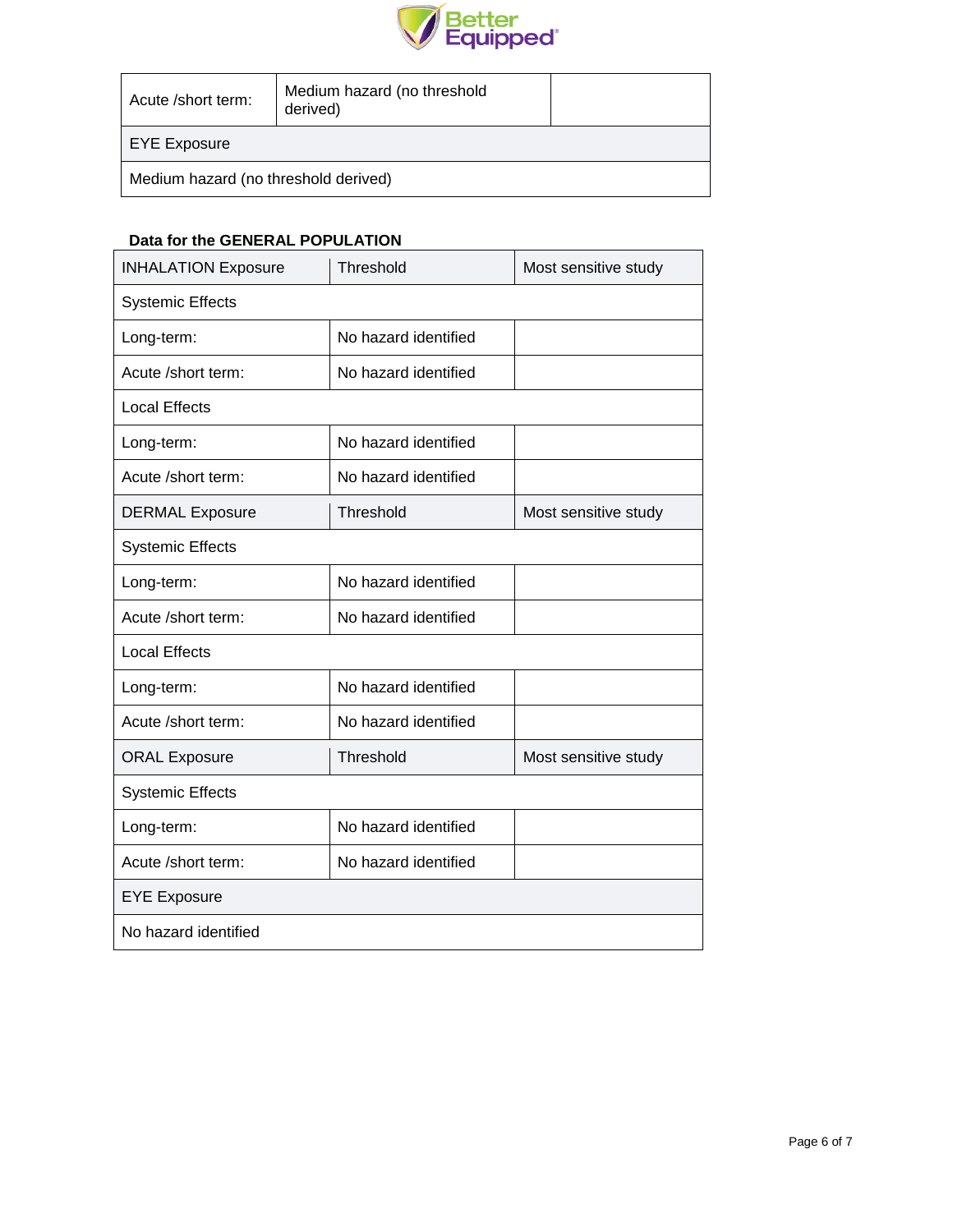

| Acute /short term:                   | Medium hazard (no threshold<br>derived) |  |  |  |
|--------------------------------------|-----------------------------------------|--|--|--|
| <b>EYE Exposure</b>                  |                                         |  |  |  |
| Medium hazard (no threshold derived) |                                         |  |  |  |

# **Data for the GENERAL POPULATION**

| <b>INHALATION Exposure</b> | Threshold            | Most sensitive study |  |  |  |  |
|----------------------------|----------------------|----------------------|--|--|--|--|
| <b>Systemic Effects</b>    |                      |                      |  |  |  |  |
| Long-term:                 | No hazard identified |                      |  |  |  |  |
| Acute /short term:         | No hazard identified |                      |  |  |  |  |
| <b>Local Effects</b>       |                      |                      |  |  |  |  |
| Long-term:                 | No hazard identified |                      |  |  |  |  |
| Acute /short term:         | No hazard identified |                      |  |  |  |  |
| <b>DERMAL Exposure</b>     | Threshold            | Most sensitive study |  |  |  |  |
| <b>Systemic Effects</b>    |                      |                      |  |  |  |  |
| Long-term:                 | No hazard identified |                      |  |  |  |  |
| Acute /short term:         | No hazard identified |                      |  |  |  |  |
| <b>Local Effects</b>       |                      |                      |  |  |  |  |
| Long-term:                 | No hazard identified |                      |  |  |  |  |
| Acute /short term:         | No hazard identified |                      |  |  |  |  |
| <b>ORAL Exposure</b>       | Threshold            | Most sensitive study |  |  |  |  |
| <b>Systemic Effects</b>    |                      |                      |  |  |  |  |
| Long-term:                 | No hazard identified |                      |  |  |  |  |
| Acute /short term:         | No hazard identified |                      |  |  |  |  |
| <b>EYE Exposure</b>        |                      |                      |  |  |  |  |
| No hazard identified       |                      |                      |  |  |  |  |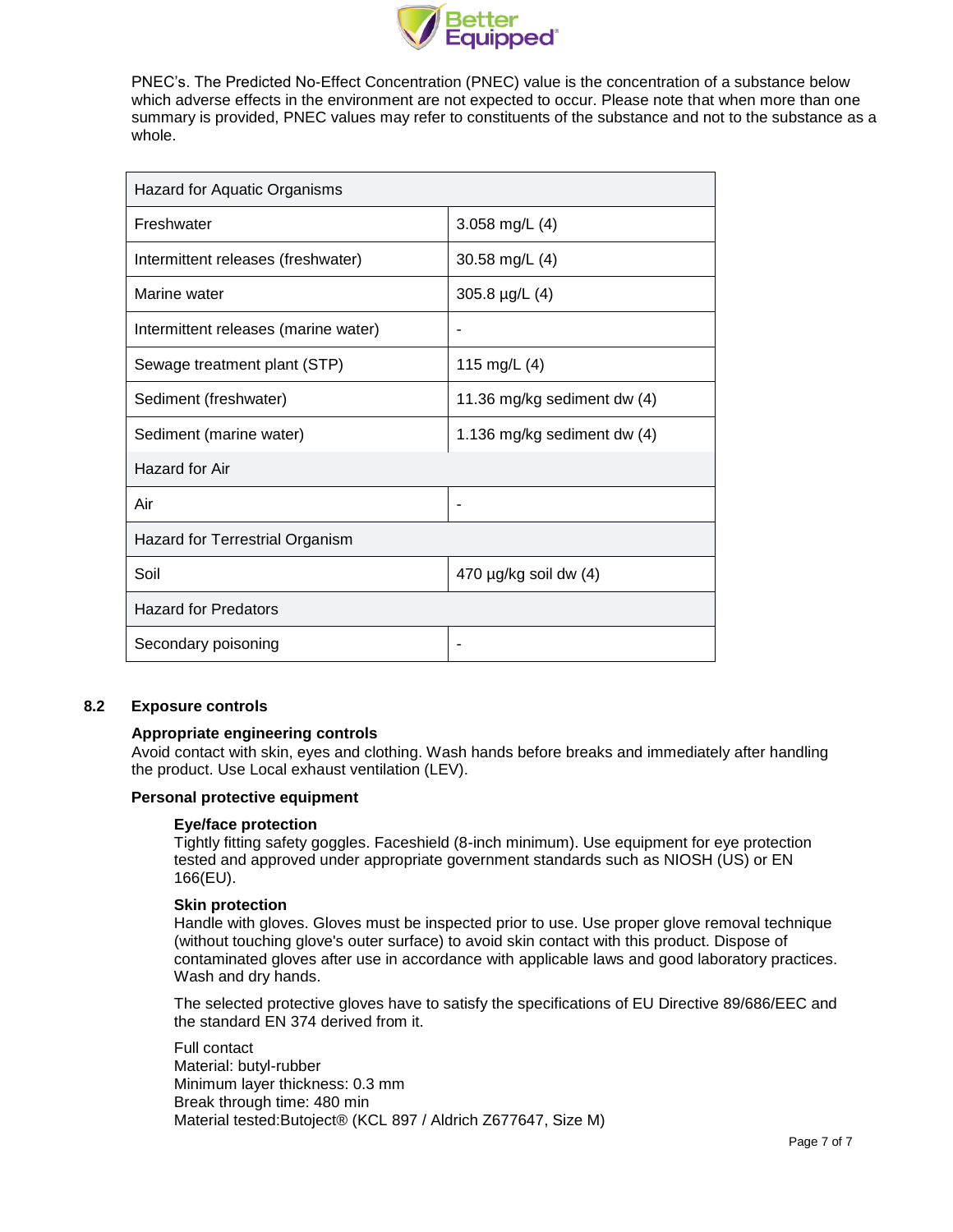

PNEC's. The Predicted No-Effect Concentration (PNEC) value is the concentration of a substance below which adverse effects in the environment are not expected to occur. Please note that when more than one summary is provided, PNEC values may refer to constituents of the substance and not to the substance as a whole.

| Hazard for Aquatic Organisms         |                             |  |  |  |
|--------------------------------------|-----------------------------|--|--|--|
| Freshwater                           | 3.058 mg/L $(4)$            |  |  |  |
| Intermittent releases (freshwater)   | 30.58 mg/L (4)              |  |  |  |
| Marine water                         | 305.8 µg/L (4)              |  |  |  |
| Intermittent releases (marine water) |                             |  |  |  |
| Sewage treatment plant (STP)         | 115 mg/L (4)                |  |  |  |
| Sediment (freshwater)                | 11.36 mg/kg sediment dw (4) |  |  |  |
| Sediment (marine water)              | 1.136 mg/kg sediment dw (4) |  |  |  |
| Hazard for Air                       |                             |  |  |  |
| Air                                  | ۰                           |  |  |  |
| Hazard for Terrestrial Organism      |                             |  |  |  |
| Soil                                 | 470 µg/kg soil dw (4)       |  |  |  |
| <b>Hazard for Predators</b>          |                             |  |  |  |
| Secondary poisoning                  |                             |  |  |  |

### **8.2 Exposure controls**

#### **Appropriate engineering controls**

Avoid contact with skin, eyes and clothing. Wash hands before breaks and immediately after handling the product. Use Local exhaust ventilation (LEV).

#### **Personal protective equipment**

#### **Eye/face protection**

Tightly fitting safety goggles. Faceshield (8-inch minimum). Use equipment for eye protection tested and approved under appropriate government standards such as NIOSH (US) or EN 166(EU).

## **Skin protection**

Handle with gloves. Gloves must be inspected prior to use. Use proper glove removal technique (without touching glove's outer surface) to avoid skin contact with this product. Dispose of contaminated gloves after use in accordance with applicable laws and good laboratory practices. Wash and dry hands.

The selected protective gloves have to satisfy the specifications of EU Directive 89/686/EEC and the standard EN 374 derived from it.

Full contact Material: butyl-rubber Minimum layer thickness: 0.3 mm Break through time: 480 min Material tested:Butoject® (KCL 897 / Aldrich Z677647, Size M)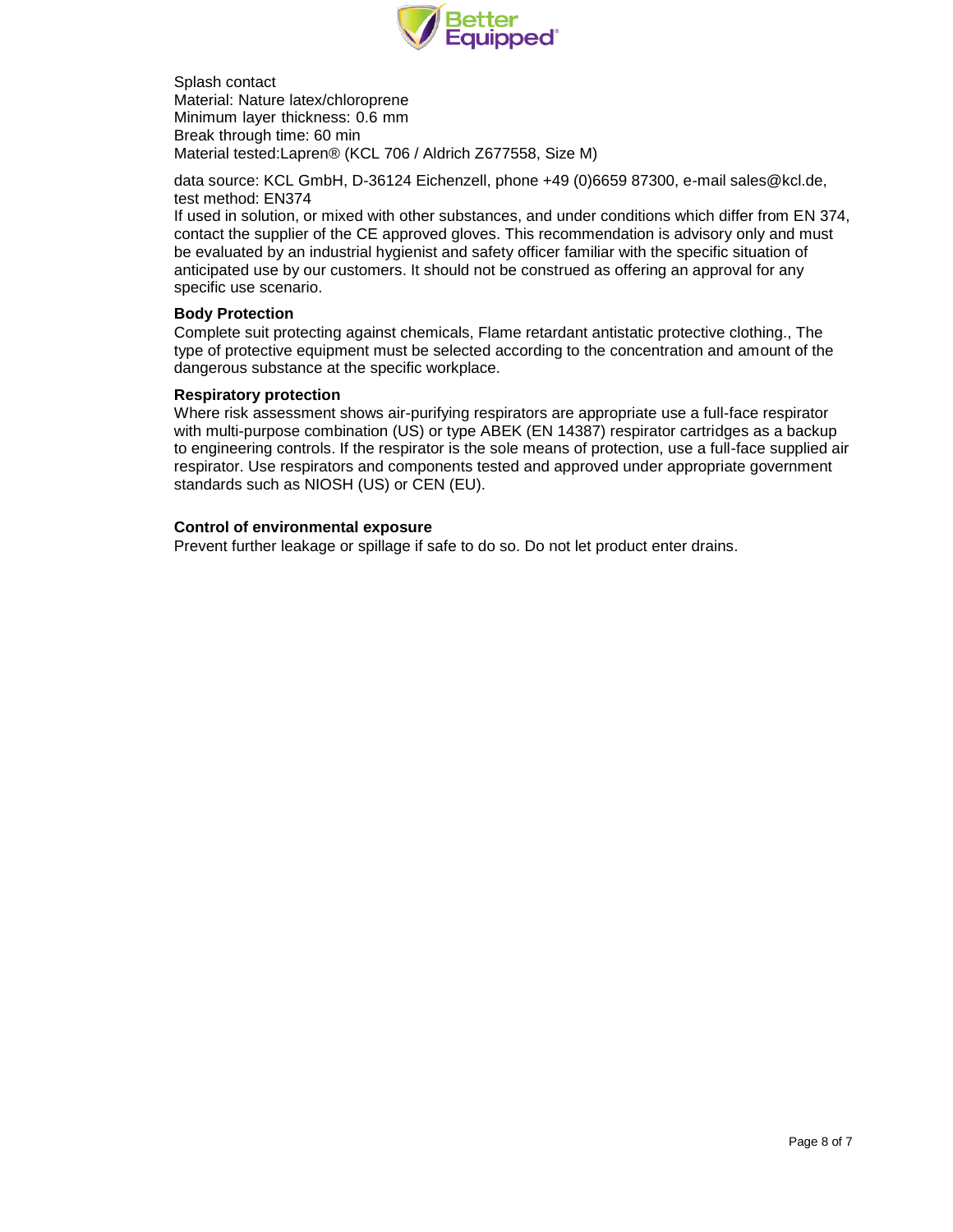

Splash contact Material: Nature latex/chloroprene Minimum layer thickness: 0.6 mm Break through time: 60 min Material tested:Lapren® (KCL 706 / Aldrich Z677558, Size M)

data source: KCL GmbH, D-36124 Eichenzell, phone +49 (0)6659 87300, e-mail [sales@kcl.de,](mailto:sales@kcl.de) test method: EN374

If used in solution, or mixed with other substances, and under conditions which differ from EN 374, contact the supplier of the CE approved gloves. This recommendation is advisory only and must be evaluated by an industrial hygienist and safety officer familiar with the specific situation of anticipated use by our customers. It should not be construed as offering an approval for any specific use scenario.

## **Body Protection**

Complete suit protecting against chemicals, Flame retardant antistatic protective clothing., The type of protective equipment must be selected according to the concentration and amount of the dangerous substance at the specific workplace.

## **Respiratory protection**

Where risk assessment shows air-purifying respirators are appropriate use a full-face respirator with multi-purpose combination (US) or type ABEK (EN 14387) respirator cartridges as a backup to engineering controls. If the respirator is the sole means of protection, use a full-face supplied air respirator. Use respirators and components tested and approved under appropriate government standards such as NIOSH (US) or CEN (EU).

## **Control of environmental exposure**

Prevent further leakage or spillage if safe to do so. Do not let product enter drains.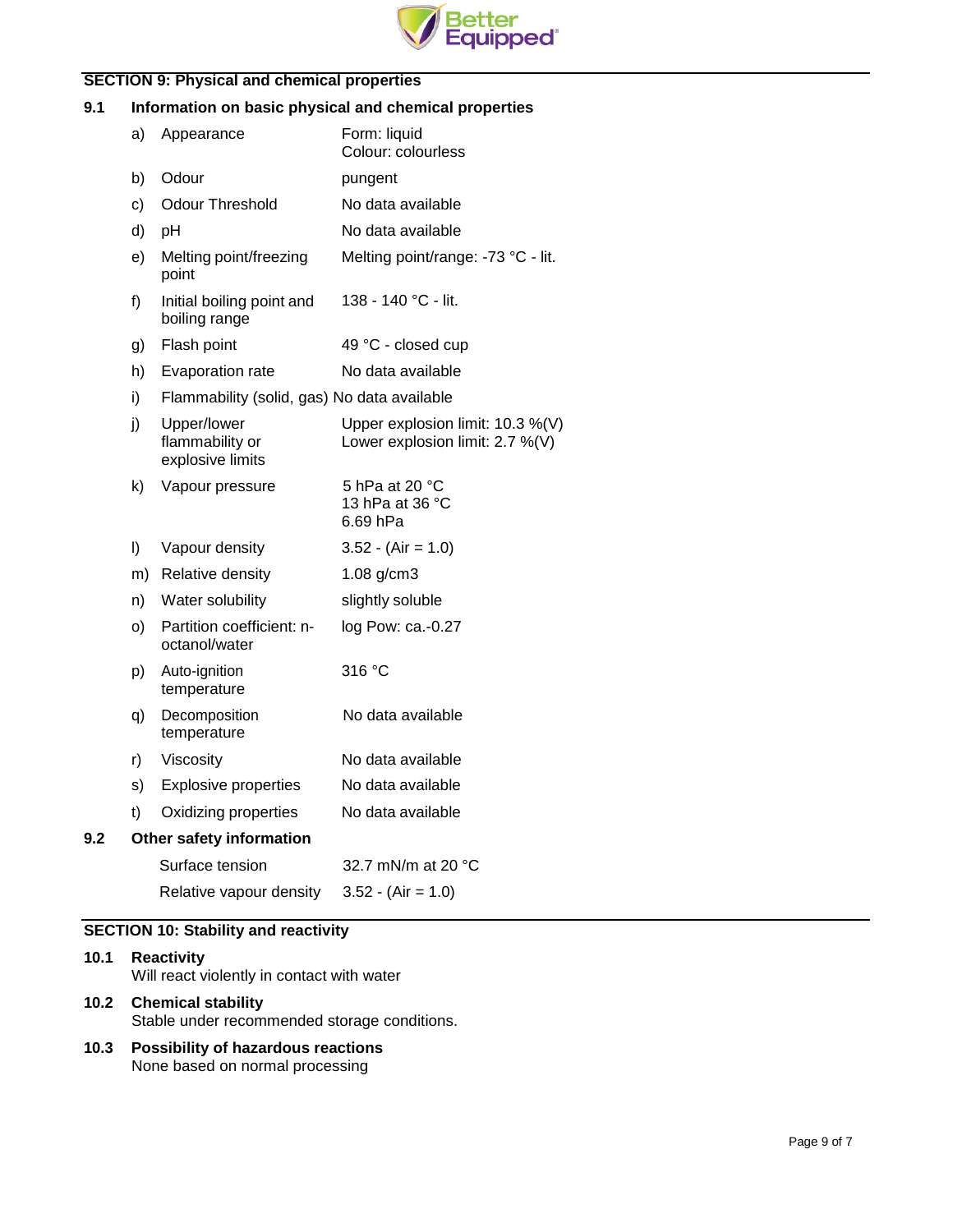

# **SECTION 9: Physical and chemical properties**

# **9.1 Information on basic physical and chemical properties**

|     | a) | Appearance                                         | Form: liquid<br>Colour: colourless                                  |
|-----|----|----------------------------------------------------|---------------------------------------------------------------------|
|     | b) | Odour                                              | pungent                                                             |
|     | c) | <b>Odour Threshold</b>                             | No data available                                                   |
|     | d) | pH                                                 | No data available                                                   |
|     | e) | Melting point/freezing<br>point                    | Melting point/range: -73 °C - lit.                                  |
|     | f) | Initial boiling point and<br>boiling range         | 138 - 140 °C - lit.                                                 |
|     | g) | Flash point                                        | 49 °C - closed cup                                                  |
|     | h) | Evaporation rate                                   | No data available                                                   |
|     | i) | Flammability (solid, gas) No data available        |                                                                     |
|     | j) | Upper/lower<br>flammability or<br>explosive limits | Upper explosion limit: 10.3 %(V)<br>Lower explosion limit: 2.7 %(V) |
|     | k) | Vapour pressure                                    | 5 hPa at 20 °C<br>13 hPa at 36 °C<br>6.69 hPa                       |
|     | I) | Vapour density                                     | $3.52 - (Air = 1.0)$                                                |
|     | m) | Relative density                                   | $1.08$ g/cm3                                                        |
|     | n) | Water solubility                                   | slightly soluble                                                    |
|     | O) | Partition coefficient: n-<br>octanol/water         | log Pow: ca.-0.27                                                   |
|     | p) | Auto-ignition<br>temperature                       | 316 °C                                                              |
|     | q) | Decomposition<br>temperature                       | No data available                                                   |
|     | r) | Viscosity                                          | No data available                                                   |
|     | s) | <b>Explosive properties</b>                        | No data available                                                   |
|     | t) | Oxidizing properties                               | No data available                                                   |
| 9.2 |    | Other safety information                           |                                                                     |
|     |    | Surface tension                                    | 32.7 mN/m at 20 °C                                                  |
|     |    | Relative vapour density                            | $3.52 - (Air = 1.0)$                                                |
|     |    |                                                    |                                                                     |

# **SECTION 10: Stability and reactivity**

# **10.1 Reactivity** Will react violently in contact with water **10.2 Chemical stability** Stable under recommended storage conditions.

**10.3 Possibility of hazardous reactions** None based on normal processing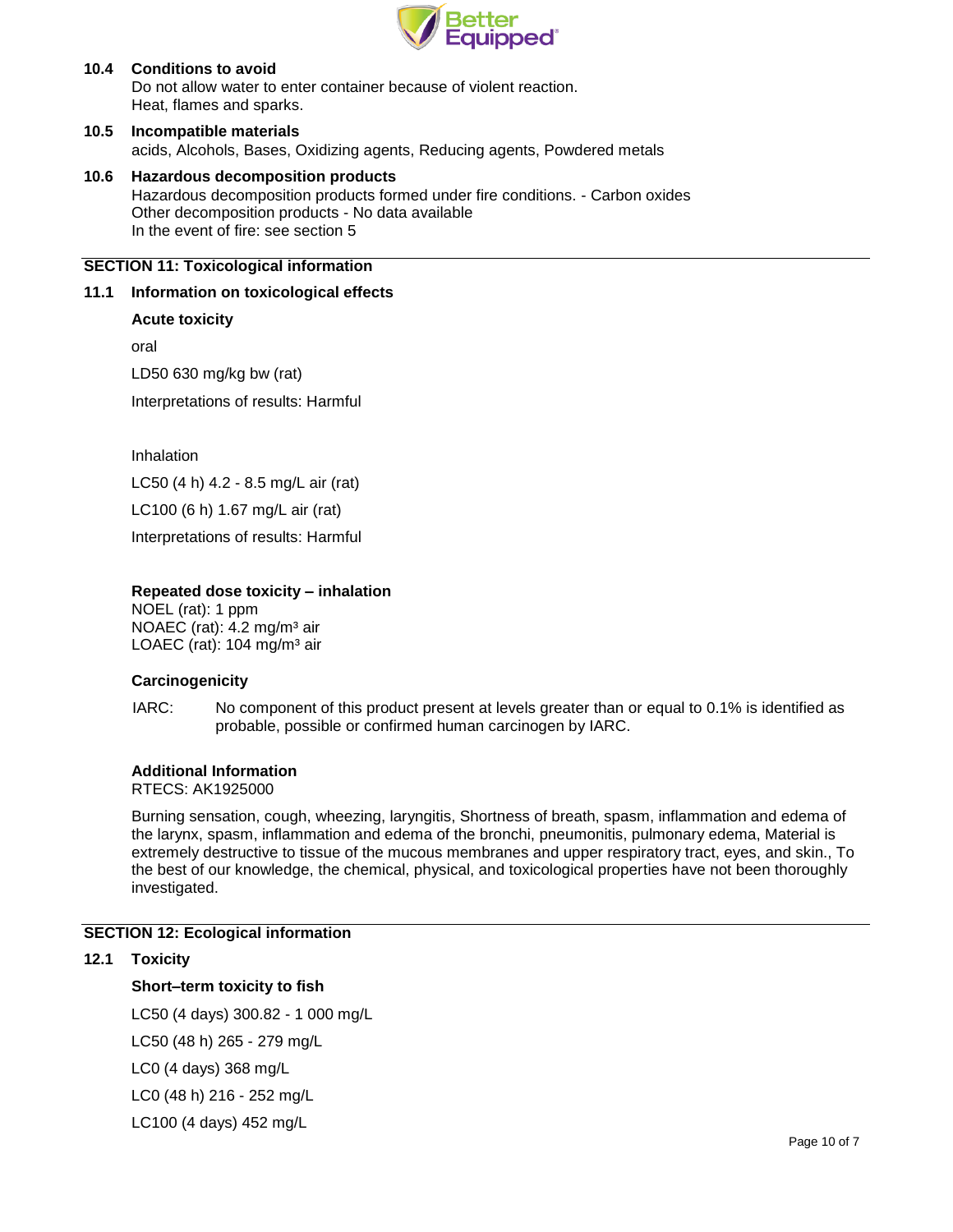

## **10.4 Conditions to avoid** Do not allow water to enter container because of violent reaction. Heat, flames and sparks.

- **10.5 Incompatible materials** acids, Alcohols, Bases, Oxidizing agents, Reducing agents, Powdered metals
- **10.6 Hazardous decomposition products** Hazardous decomposition products formed under fire conditions. - Carbon oxides Other decomposition products - No data available In the event of fire: see section 5

# **SECTION 11: Toxicological information**

## **11.1 Information on toxicological effects**

## **Acute toxicity**

oral

LD50 630 mg/kg bw (rat)

Interpretations of results: Harmful

Inhalation

LC50 (4 h) 4.2 - 8.5 mg/L air (rat)

LC100 (6 h) 1.67 mg/L air (rat)

Interpretations of results: Harmful

## **Repeated dose toxicity – inhalation**

NOEL (rat): 1 ppm NOAEC (rat): 4.2 mg/m<sup>3</sup> air LOAEC (rat): 104 mg/m<sup>3</sup> air

#### **Carcinogenicity**

IARC: No component of this product present at levels greater than or equal to 0.1% is identified as probable, possible or confirmed human carcinogen by IARC.

#### **Additional Information**

RTECS: AK1925000

Burning sensation, cough, wheezing, laryngitis, Shortness of breath, spasm, inflammation and edema of the larynx, spasm, inflammation and edema of the bronchi, pneumonitis, pulmonary edema, Material is extremely destructive to tissue of the mucous membranes and upper respiratory tract, eyes, and skin., To the best of our knowledge, the chemical, physical, and toxicological properties have not been thoroughly investigated.

# **SECTION 12: Ecological information**

#### **12.1 Toxicity**

## **Short–term toxicity to fish**

LC50 (4 days) 300.82 - 1 000 mg/L

LC50 (48 h) 265 - 279 mg/L

LC0 (4 days) 368 mg/L

LC0 (48 h) 216 - 252 mg/L

LC100 (4 days) 452 mg/L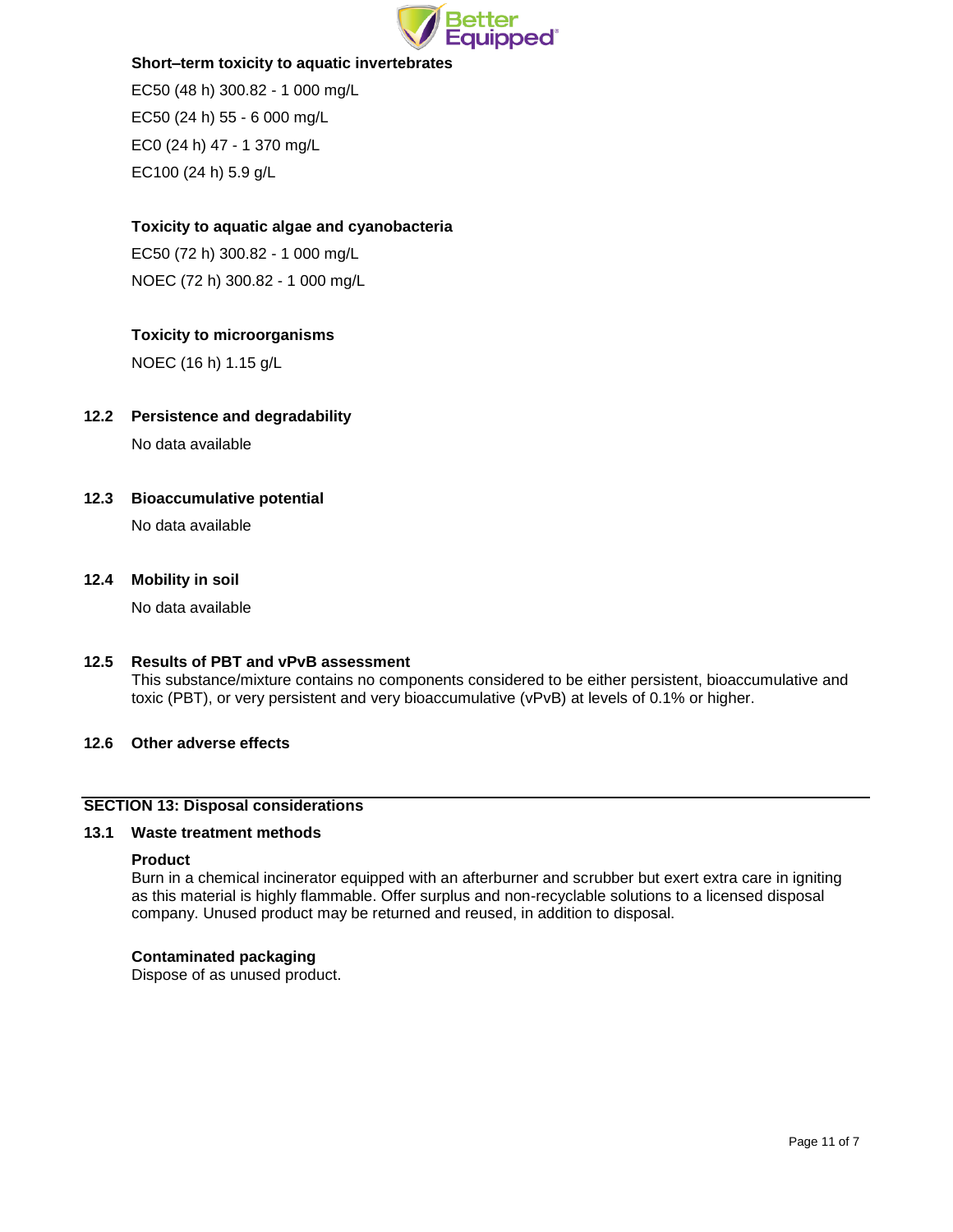

## **Short–term toxicity to aquatic invertebrates**

EC50 (48 h) 300.82 - 1 000 mg/L EC50 (24 h) 55 - 6 000 mg/L EC0 (24 h) 47 - 1 370 mg/L EC100 (24 h) 5.9 g/L

# **Toxicity to aquatic algae and cyanobacteria**

EC50 (72 h) 300.82 - 1 000 mg/L NOEC (72 h) 300.82 - 1 000 mg/L

# **Toxicity to microorganisms**

NOEC (16 h) 1.15 g/L

# **12.2 Persistence and degradability**

No data available

# **12.3 Bioaccumulative potential**

No data available

## **12.4 Mobility in soil**

No data available

## **12.5 Results of PBT and vPvB assessment**

This substance/mixture contains no components considered to be either persistent, bioaccumulative and toxic (PBT), or very persistent and very bioaccumulative (vPvB) at levels of 0.1% or higher.

# **12.6 Other adverse effects**

## **SECTION 13: Disposal considerations**

#### **13.1 Waste treatment methods**

#### **Product**

Burn in a chemical incinerator equipped with an afterburner and scrubber but exert extra care in igniting as this material is highly flammable. Offer surplus and non-recyclable solutions to a licensed disposal company. Unused product may be returned and reused, in addition to disposal.

#### **Contaminated packaging**

Dispose of as unused product.